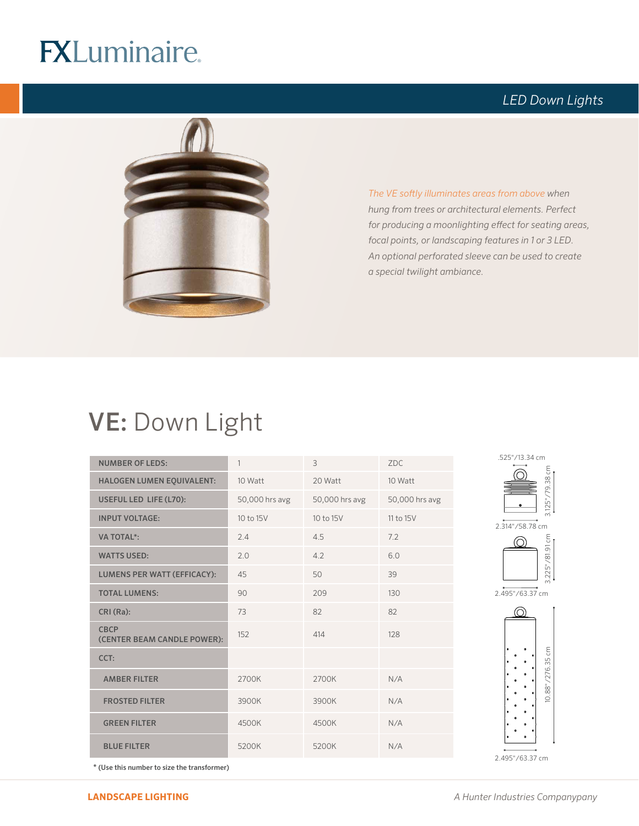# **FXLuminaire.**

### *LED Down Lights*



*The VE softly illuminates areas from above when hung from trees or architectural elements. Perfect for producing a moonlighting effect for seating areas, focal points, or landscaping features in 1 or 3 LED. An optional perforated sleeve can be used to create a special twilight ambiance.* 

## VE: Down Light

| <b>NUMBER OF LEDS:</b>                     | $\mathbf{1}$   | 3              | ZDC.           |
|--------------------------------------------|----------------|----------------|----------------|
| HALOGEN LUMEN EQUIVALENT:                  | 10 Watt        | 20 Watt        | 10 Watt        |
| USEFUL LED LIFE (L70):                     | 50,000 hrs avg | 50,000 hrs avg | 50,000 hrs avg |
| <b>INPUT VOLTAGE:</b>                      | 10 to 15V      | 10 to 15V      | 11 to 15V      |
| <b>VA TOTAL*:</b>                          | 2.4            | 4.5            | 7.2            |
| <b>WATTS USED:</b>                         | 2.0            | 4.2            | 6.0            |
| <b>LUMENS PER WATT (EFFICACY):</b>         | 45             | 50             | 39             |
| <b>TOTAL LUMENS:</b>                       | 90             | 209            | 130            |
| CRI (Ra):                                  | 73             | 82             | 82             |
| <b>CBCP</b><br>(CENTER BEAM CANDLE POWER): | 152            | 414            | 128            |
| CCT:                                       |                |                |                |
| <b>AMBER FILTER</b>                        | 2700K          | 2700K          | N/A            |
| <b>FROSTED FILTER</b>                      | 3900K          | 3900K          | N/A            |
| <b>GREEN FILTER</b>                        | 4500K          | 4500K          | N/A            |
| <b>BLUE FILTER</b>                         | 5200K          | 5200K          | N/A            |











\* (Use this number to size the transformer)